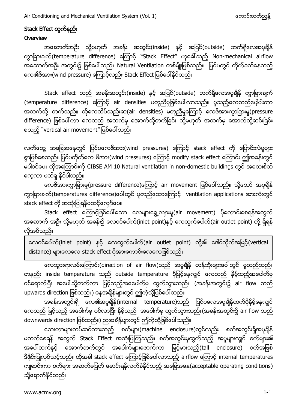### Stack Effect တွက်နည်း **Overview**

အဆောက်အဦး သို့မဟုတ် အခန်း အတွင်း(inside) နင့် အပြင်(outside) ဘက်ရှိလေအပူချိန် ကွာခြားချက်(temperature difference) ကြောင့် ``Stack Effect" ဟုခေါ်သည့် Non-mechanical airflow အဆောက်အဦး အတွင်း၌ ဖြစ်ပေါ် သည်။ Natural Ventilation တစ်မျိုးဖြစ်သည်။ ပြင်ပတွင် တိုက်ခတ်နေသည့် လေ၏ဗိအား(wind pressure) ကြောင့်လည်း Stack Effect ဖြစ်ပေါ်နိုင်သည်။

Stack effect သည် အခန်းအတွင်း(inside) နှင့် အပြင်(outside) ဘက်ရှိလေအပူချိန် ကွာခြားချက် (temperature difference) ကြောင့် air densities မတူညီမှုဖြစ်ပေါ်လာသည်။ ပူသည့်လေသည်ပေ့ါပါးကာ အထက်သို့ တက်သည်။ ထိုလေသိပ်သည်းဆ(air densities) မတူညီမှုကြောင့် လေဗိအားကွာခြားမှု(pressure difference) ဖြစ်ပေါ်ကာ လေသည် အထက်မှ အောက်သို့တက်ခြင်း သို့မဟုတ် အထက်မှ အောက်သို့ဆင်းခြင်း စသည့် "vertical air movement" ဖြစ်ပေါ် သည်။

လက်တွေ့ အခြေအနေတွင် ပြင်ပလေဗိအား(wind pressures) ကြောင့် stack effect ကို ပြောင်းလဲမှုများ စွာဖြစ်စေသည်။ ပြင်ပတိုက်လေ ဖိအား(wind pressures) ကြောင့် modify stack effect ကြောင်း ဤအခန်းတွင် မပါဝင်ပေ။ ထိုအကြောင်းကို CIBSE AM 10 Natural ventilation in non-domestic buildings တွင် အသေးစိတ် လေ့လာ ဖတ်ရှု နိုင်ပါသည်။

လေဗိအားကွာခြားမှု(pressure difference)ကြောင့် air movement ဖြစ်ပေါ်သည်။ သို့သော် အပူချိန် ကွာခြားချက်(temperatures difference)ပေါ်တွင် မူတည်သောကြောင့် ventilation applications အားလုံးတွင် stack effect ကို အသုံးပြုရန်မသင့်လျော်ပေ။

Stack effect ကြောင့်ဖြစ်ပေါ်သော လေများရွေ့လျားမှု(air movement) ပိုကောင်းစေရန်အတွက် အဆောက် အဦး သို့မဟုတ် အခန်း၌ လေဝင်ပေါက်(inlet point)နှင့် လေထွက်ပေါက်(air outlet point) တို့ ရှိရန် လိုအပ်သည်။

လေဝင်ပေါက်(inlet point) နှင့် လေထွက်ပေါက်(air outlet point) တို့၏ ဒေါင်လိုက်အမြင့်(vertical distance) များလေလေ stack effect ပိုအားကောင်းလေလေဖြစ်သည်။

လေသွားရာလမ်းကြောင်း(direction of air flow)သည် အပူရှိန် တန်ဘိုးများပေါ်တွင် မူတည်သည်။ တနည်း inside temperature သည် outside temperature ပိုမြင့်နေလျှင် လေသည် နိမ့်သည့်အပေါက်မှ ဝင်ရောက်ပြီး အပေါ်သို့တက်ကာ မြင့်သည့်အဝေေါက်မှ ထွက်သွားသည်။ (အခန်းအတွင်း၌ air flow သည် upwards direction ဖြစ်သည်။) နေအချိန်များတွင် ဤကဲ့သို့ဖြစ်ပေါ် သည်။

အခန်းအတွင်းရှိ လေ၏အပူချိန်(internal temperature)သည် ပြင်ပလေအပူချိန်ထက်ပိုနိမ့်နေလျှင် လေသည် မြင့်သည့် အပေါက်မှ ဝင်လာပြီး နိမ့်သည် အပေါက်မှ ထွက်သွားသည်။(အခန်းအတွင်း၌ air flow သည် downwards direction ဖြစ်သည်။) ညအချိန်များတွင် ဤကဲ့သို့ဖြစ်ပေါ် သည်။

ဘေးကာများတပ်ဆင်ထားသည့် စက်များ(machine enclosure)တွင်လည်း စက်အတွင်းရှိအပူချိန် မတက်စေရန် အတွက် Stack Effect အသုံးပြုကြသည်။ စက်အတွင်းမှထွက်သည့် အပူများလျှင် စက်များ၏ အပေါ် ဘက်နှင့် အောက်ဘက်တွင် အပေါက်များဖောက်ကာ မြင့်မားသည့်(tall enclosure) စက်အဖြစ် ဒီဇိုင်းပြုလုပ်သင့်သည်။ ထိုအခါ stack effect ကြောင့်ဖြစ်ပေါ် လာသည့် airflow ကြောင့် internal temperatures ကျဆင်းကာ စက်များ အဆက်မပြတ် မောင်းရန်လက်ခံနိုင်သည့် အခြေအနေ(acceptable operating conditions) သို့ရောက်နိုင်သည်။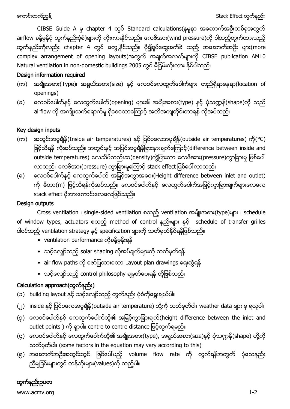CIBSE Guide A မှ chapter 4 တွင် Standard calculations(နမူနာ အဆောက်အဦးတစ်ခုအတွက် airflow ခန့်မှန်ပုံ တွက်နည်းပုံစံ)များကို ကိုးကားနိုင်သည်။ လေဖိအား(wind pressure)ကို ပါထည့်တွက်ထားသည့် တွက်နည်းကိုလည်း chapter 4 တွင် တွေ့နိုင်သည်။ ပို၍ရှုပ်ထွေးခက်ခဲ သည့် အဆောက်အဦး များ(more complex arrangement of opening layouts)အတွက် အချက်အလက်များကို CIBSE publication AM10 Natural ventilation in non-domestic buildings 2005 တွင် မှီငြမ်းကိုးကား နိုင်ပါသည်။

### Design information required

- (က) အမျိုးအစား(Type)၊ အရွယ်အစား(size) နှင့် လေဝင်လေထွက်ပေါက်များ တည်ရှိရာနေရာ(location of openings)
- (ခ) လေဝင်ပေါက်နှင့် လေထွက်ပေါက်(opening) များ၏ အမျိုးအစား(type) နှင့် ပုံသဏ္ဍန်(shape)တို သည် airflow ကို အကျိုးသက်ရောက်မှု ရှိစေသောကြောင့် အတိအကျတိုင်းတာရန် လိုအပ်သည်။

# Key design inputs

- (က) အတွင်းအပူချိန် (Inside air temperatures) နင့် ပြင်ပလေအပူချိန် (outside air temperatures) ကို (°C) ဖြင့်သိရန် လိုအပ်သည်။ အတွင်းနင့် အပြင်အပူရှိန်ခြားနားချက်ကြောင့်(difference between inside and outside temperatures) လေသိပ်သည်းဆ(density)ကွဲပြားကာ လေဖိအား(pressure)ကွာခြားမှု ဖြစ်ပေါ် လာသည်။ လေဗိအား(pressure) ကွာခြားမှုကြောင့် stack effect ဖြစ်ပေါ် လာသည်။
- (ခ) ေလေဝင်ပေါက်နှင့် လေထွက်ပေါက် အမြင့်အကွာအဝေး(Height difference between inlet and outlet) ကို မီတာ(m) ဖြင့်သိရန်လိုအပ်သည်။ လေဝင်ပေါက်နှင့် လေထွက်ပေါက်အမြင့်ကွာခြားချက်များလေလေ stack effect ပိုအားကောင်းလေလေဖြစ်သည်။

#### Design outputs

Cross ventilation ၊ single-sided ventilation စသည့် ventilation အမျိုးအစား(type)များ ၊ schedule of window types, actuators စသည့် method of control နည်းများ နှင့် schedule of transfer grilles ပါဝင်သည့် ventilation strategy နှင့် specification များကို သတ်မှတ်နိုင်ရန်ဖြစ်သည်။

- ventilation performance ကိုခန့်မှန်းရန်
- သင့်လျော်သည့် solar shading လိုအပ်ချက်များကို သတ်မှတ်ရန်
- air flow paths ကို ဖော်ပြထားသော Layout plan drawings ရေးဆွဲရန်
- သင့်လျော်သည့် control philosophy ချမှတ်ပေးရန် တိုဖြစ်သည်။

# Calculation approach(တွက်နည်း)

- (၁) building layout နှင့် သင့်လျော်သည့် တွက်နည်း ပုံစံကိုရွေးချယ်ပါ။
- (၂) inside နှင့် ပြင်ပလေအပူရှိန် (outside air temperature) တို့ကို သတ်မှတ်ပါ။ weather data များ မှ ရယူပါ။
- (၃) လေဝင်ပေါက်နှင့် လေထွက်ပေါက်တို့၏ အမြင့်ကွာခြားချက်(height difference between the inlet and outlet points ) ကို ရှာပါ။ centre to centre distance ဖြင့်တွက်ရမည်။
- (၄) လေဝင်ပေါက်နှင့် လေထွက်ပေါက်တို့၏ အမျိုးအစား(type), အရွယ်အစား(size)နှင့် ပုံသဏ္ဍန်(shape) တို့ကို သတ်မှတ်ပါ။ (some factors in the equation may vary according to this)
- (၅) အဆောက်အဦးအတွင်းတွင် ဖြစ်ပေါ်မည့် volume flow rate ကို တွက်ရန်အတွက် ပုံသေနည်း ညီမျခြင်းများတွင် တန်ဘိုးများ(values)ကို ထည့်ပါ။

# တွက်နည်းဥပမာ

www.acmv.org 1-2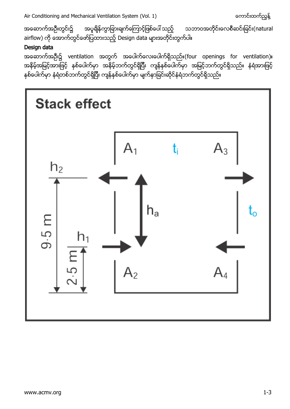ကောင်းထက်ညွန့် Air Conditioning and Mechanical Ventilation System (Vol. 1) အဆောက်အဦးတွင်း၌ အပူချိန်ကွာခြားချက်ကြောင့်ဖြစ်ပေါ် သည့် သဘာဝအတိုင်းလေစီဆင်းခြင်း(natural airflow) ကို အောက်တွင်ဖော်ပြထားသည့် Design data များအတိုင်းတွက်ပါ။

# Design data

အဆောက်အဦး၌ ventilation အတွက် အပေါက်လေးပေါက်ရှိသည်။(four openings for ventilation)။ အနိမ့်အမြင့်အားဖြင့် နှစ်ပေါက်မှာ အနိမ့်ဘက်တွင်ရှိပြီး ကျန်နစ်ပေါက်မှာ အမြင့်ဘက်တွင်ရှိသည်။ နံရံအားဖြင့် နှစ်ပေါက်မှာ နံရံတစ်ဘက်တွင်ရှိပြီး ကျန်နှစ်ပေါက်မှာ မျက်နှာခြင်းဆိုင်နံရံဘက်တွင်ရှိသည်။

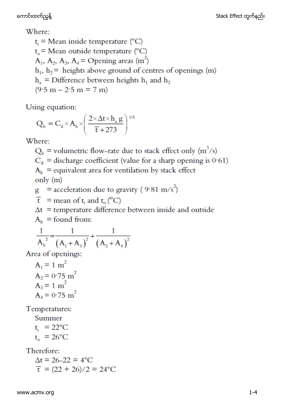Where:

 $t_i$  = Mean inside temperature (°C)  $t_{0}$  = Mean outside temperature (°C)  $A_1$ ,  $A_2$ ,  $A_3$ ,  $A_4$  = Opening areas (m<sup>2</sup>)  $h_1$ ,  $h_2$  = heights above ground of centres of openings (m)  $h_a$  = Difference between heights  $h_1$  and  $h_2$  $(9.5 m - 2.5 m = 7 m)$ 

Using equation:

$$
Q_{b} = C_{d} \times A_{b} \times \left(\frac{2 \times \Delta t \times h_{a} g}{\overline{t} + 273}\right)^{0.5}
$$

Where:

 $Q_b$  = volumetric flow-rate due to stack effect only (m<sup>3</sup>/s)  $C_d$  = discharge coefficient (value for a sharp opening is 0.61)  $A<sub>b</sub>$  = equivalent area for ventilation by stack effect only (m)

 $g =$  acceleration due to gravity (9.81 m/s<sup>2</sup>)

 $\bar{t}$  = mean of t<sub>i</sub> and t<sub>o</sub> (<sup>o</sup>C)

 $\Delta t$  = temperature difference between inside and outside

 $A<sub>b</sub>$  = found from:

$$
\frac{1}{A_b^2} = \frac{1}{(A_1 + A_3)^2} + \frac{1}{(A_2 + A_4)^2}
$$

Area of openings:

 $A_1 = 1$  m<sup>2</sup>  $A_2 = 0.75$  m<sup>2</sup>  $A_3 = 1 m^2$  $A_4 = 0.75$  m<sup>2</sup>

Temperatures:

Summer

 $t_i = 22^{\circ}C$  $t_{0} = 26$ °C

Therefore:

 $\Delta t = 26 - 22 = 4$ °C  $\overline{t}$  = (22 + 26)/2 = 24 °C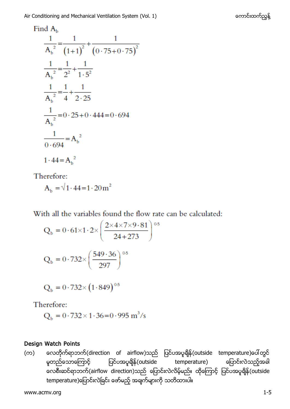Find  $A<sub>b</sub>$ 

$$
\frac{1}{A_b^2} = \frac{1}{(1+1)^2} + \frac{1}{(0 \cdot 75 + 0 \cdot 75)^2}
$$
  

$$
\frac{1}{A_b^2} = \frac{1}{2^2} + \frac{1}{1 \cdot 5^2}
$$
  

$$
\frac{1}{A_b^2} = \frac{1}{4} + \frac{1}{2 \cdot 25}
$$
  

$$
\frac{1}{A_b^2} = 0 \cdot 25 + 0 \cdot 444 = 0 \cdot 694
$$
  

$$
\frac{1}{0 \cdot 694} = A_b^2
$$
  

$$
1 \cdot 44 = A_b^2
$$

Therefore:

 $A_b = \sqrt{1.44} = 1.20 \text{ m}^2$ 

With all the variables found the flow rate can be calculated:

$$
Q_b = 0.61 \times 1.2 \times \left(\frac{2 \times 4 \times 7 \times 9.81}{24 + 273}\right)^{0.5}
$$

$$
Q_b = 0.732 \times \left(\frac{549.36}{297}\right)^{0.5}
$$

$$
Q_{b} = 0.732 \times (1.849)^{0.5}
$$

Therefore:

$$
Q_b = 0.732 \times 1.36 = 0.995
$$
 m<sup>3</sup>/s

### Design Watch Points

(က) တေတိုက်ရာဘက်(direction of airflow)သည် ပြင်ပအပူချိန်(outside temperature)ပေါ်တွင် မှုတည်သောကြောင့် ပြင်ပအပူရျိန်(outside temperature) ကြော လေစီးဆင်ရာဘက်(airflow direction)သည် ပြောင်းလဲလိမ့်မည်။ ထိုကြောင့် ပြင်ပအပူရှိန်(outside temperature)ပြောင်းလဲခြင်း ဖော်မည့် အချက်များကို သတိထားပါ။